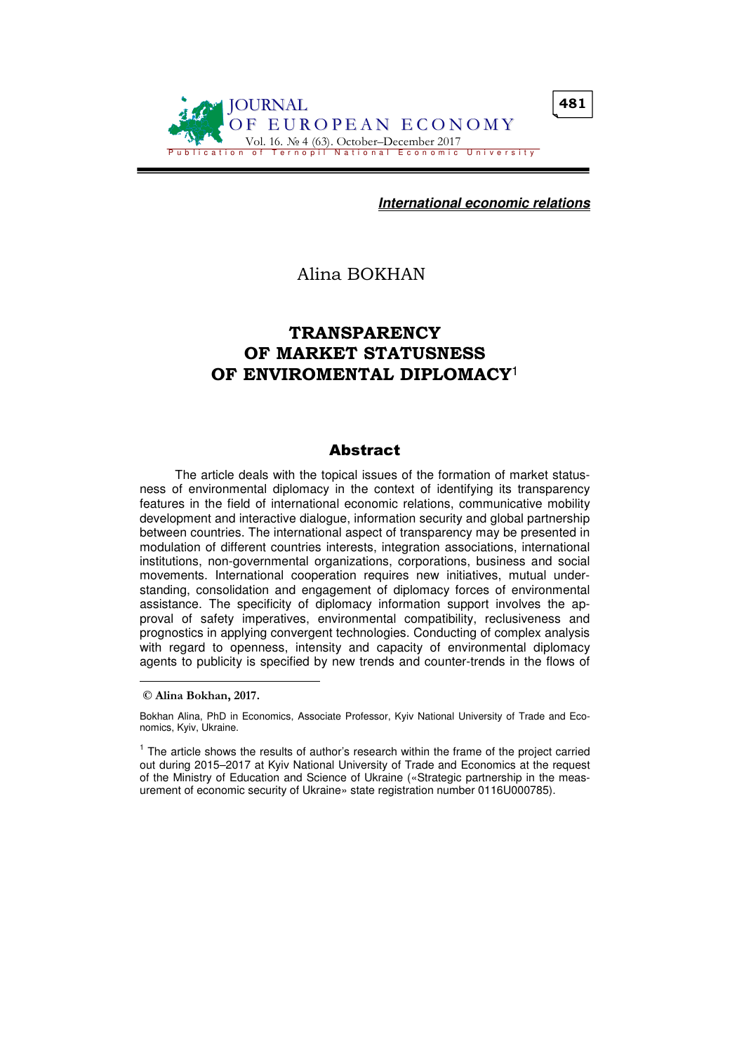

**International economic relations**

Alina BOKHAN

# TRANSPARENCY OF MARKET STATUSNESS OF ENVIROMENTAL DIPLOMACY<sup>1</sup>

## **Abstract**

The article deals with the topical issues of the formation of market statusness of environmental diplomacy in the context of identifying its transparency features in the field of international economic relations, communicative mobility development and interactive dialogue, information security and global partnership between countries. The international aspect of transparency may be presented in modulation of different countries interests, integration associations, international institutions, non-governmental organizations, corporations, business and social movements. International cooperation requires new initiatives, mutual understanding, consolidation and engagement of diplomacy forces of environmental assistance. The specificity of diplomacy information support involves the approval of safety imperatives, environmental compatibility, reclusiveness and prognostics in applying convergent technologies. Conducting of complex analysis with regard to openness, intensity and capacity of environmental diplomacy agents to publicity is specified by new trends and counter-trends in the flows of

 $\overline{a}$ 

© Alina Bokhan, 2017.

Bokhan Alina, PhD in Economics, Associate Professor, Kyiv National University of Trade and Economics, Kyiv, Ukraine.

<sup>&</sup>lt;sup>1</sup> The article shows the results of author's research within the frame of the project carried out during 2015–2017 at Kyiv National University of Trade and Economics at the request of the Ministry of Education and Science of Ukraine («Strategic partnership in the measurement of economic security of Ukraine» state registration number 0116U000785).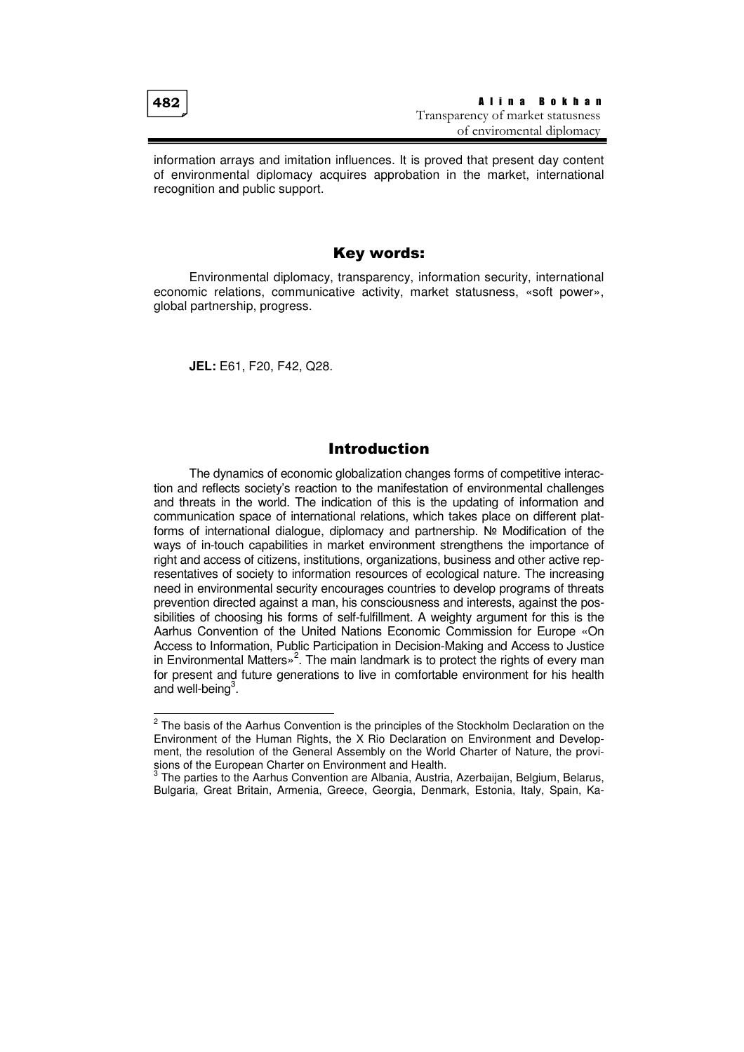$\overline{a}$ 

information arrays and imitation influences. It is proved that present day content of environmental diplomacy acquires approbation in the market, international recognition and public support.

## Key words:

Environmental diplomacy, transparency, information security, international economic relations, communicative activity, market statusness, «soft power», global partnership, progress.

**JEL:** E61, F20, F42, Q28.

## Introduction

The dynamics of economic globalization changes forms of competitive interaction and reflects society's reaction to the manifestation of environmental challenges and threats in the world. The indication of this is the updating of information and communication space of international relations, which takes place on different platforms of international dialogue, diplomacy and partnership. № Modification of the ways of in-touch capabilities in market environment strengthens the importance of right and access of citizens, institutions, organizations, business and other active representatives of society to information resources of ecological nature. The increasing need in environmental security encourages countries to develop programs of threats prevention directed against a man, his consciousness and interests, against the possibilities of choosing his forms of self-fulfillment. A weighty argument for this is the Aarhus Convention of the United Nations Economic Commission for Europe «On Access to Information, Public Participation in Decision-Making and Access to Justice in Environmental Matters»<sup>2</sup>. The main landmark is to protect the rights of every man for present and future generations to live in comfortable environment for his health and well-being<sup>3</sup>.

<sup>&</sup>lt;sup>2</sup> The basis of the Aarhus Convention is the principles of the Stockholm Declaration on the Environment of the Human Rights, the X Rio Declaration on Environment and Development, the resolution of the General Assembly on the World Charter of Nature, the provisions of the European Charter on Environment and Health.<br><sup>3</sup> The pertice to the Aerbus Convention are Albenia. Augtria

The parties to the Aarhus Convention are Albania, Austria, Azerbaijan, Belgium, Belarus, Bulgaria, Great Britain, Armenia, Greece, Georgia, Denmark, Estonia, Italy, Spain, Ka-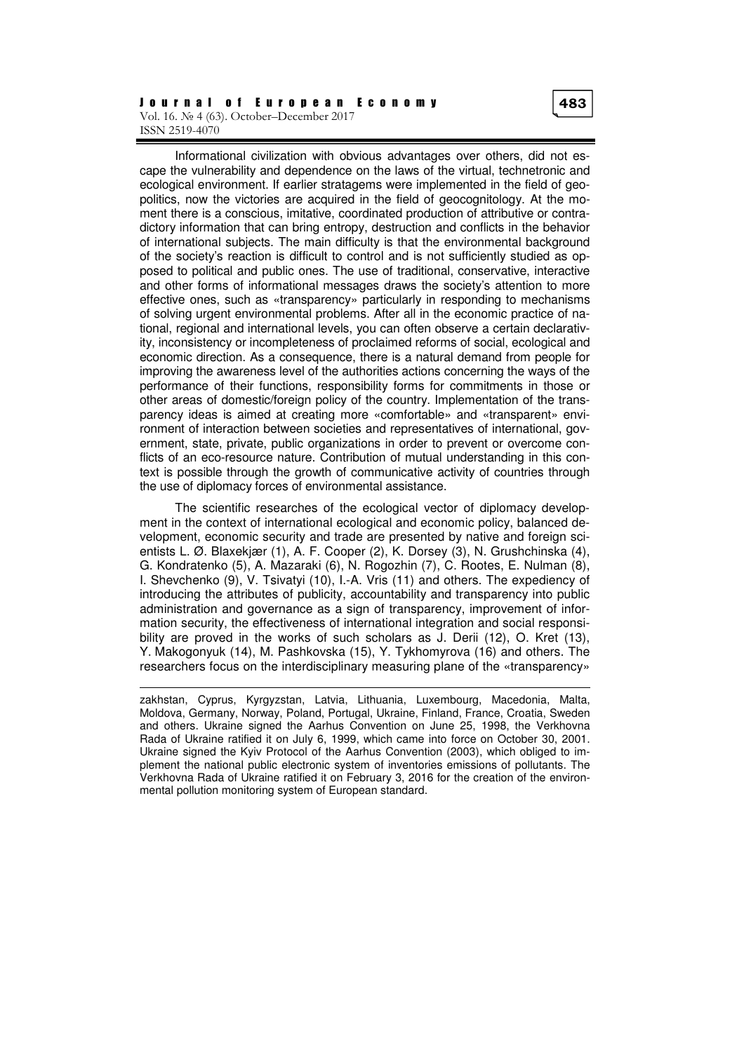#### J o u r n a l o f E u r o p e a n E c o n o m y Vol. 16. № 4 (63). October–December 2017 ISSN 2519-4070

the use of diplomacy forces of environmental assistance.

 $\overline{a}$ 

Informational civilization with obvious advantages over others, did not escape the vulnerability and dependence on the laws of the virtual, technetronic and ecological environment. If earlier stratagems were implemented in the field of geopolitics, now the victories are acquired in the field of geocognitology. At the moment there is a conscious, imitative, coordinated production of attributive or contradictory information that can bring entropy, destruction and conflicts in the behavior of international subjects. The main difficulty is that the environmental background of the society's reaction is difficult to control and is not sufficiently studied as opposed to political and public ones. The use of traditional, conservative, interactive and other forms of informational messages draws the society's attention to more effective ones, such as «transparency» particularly in responding to mechanisms of solving urgent environmental problems. After all in the economic practice of national, regional and international levels, you can often observe a certain declarativity, inconsistency or incompleteness of proclaimed reforms of social, ecological and economic direction. As a consequence, there is a natural demand from people for improving the awareness level of the authorities actions concerning the ways of the performance of their functions, responsibility forms for commitments in those or other areas of domestic/foreign policy of the country. Implementation of the transparency ideas is aimed at creating more «comfortable» and «transparent» environment of interaction between societies and representatives of international, government, state, private, public organizations in order to prevent or overcome conflicts of an eco-resource nature. Contribution of mutual understanding in this context is possible through the growth of communicative activity of countries through

The scientific researches of the ecological vector of diplomacy development in the context of international ecological and economic policy, balanced development, economic security and trade are presented by native and foreign scientists L. Ø. Blaxekjær (1), A. F. Cooper (2), K. Dorsey (3), N. Grushchinska (4), G. Kondratenko (5), A. Mazaraki (6), N. Rogozhin (7), C. Rootes, E. Nulman (8), I. Shevchenko (9), V. Tsivatyi (10), I.-A. Vris (11) and others. The expediency of introducing the attributes of publicity, accountability and transparency into public administration and governance as a sign of transparency, improvement of information security, the effectiveness of international integration and social responsibility are proved in the works of such scholars as J. Derii (12), O. Kret (13), Y. Makogonyuk (14), M. Pashkovska (15), Y. Tykhomyrova (16) and others. The researchers focus on the interdisciplinary measuring plane of the «transparency»

zakhstan, Cyprus, Kyrgyzstan, Latvia, Lithuania, Luxembourg, Macedonia, Malta, Moldova, Germany, Norway, Poland, Portugal, Ukraine, Finland, France, Croatia, Sweden and others. Ukraine signed the Aarhus Convention on June 25, 1998, the Verkhovna Rada of Ukraine ratified it on July 6, 1999, which came into force on October 30, 2001. Ukraine signed the Kyiv Protocol of the Aarhus Convention (2003), which obliged to implement the national public electronic system of inventories emissions of pollutants. The Verkhovna Rada of Ukraine ratified it on February 3, 2016 for the creation of the environmental pollution monitoring system of European standard.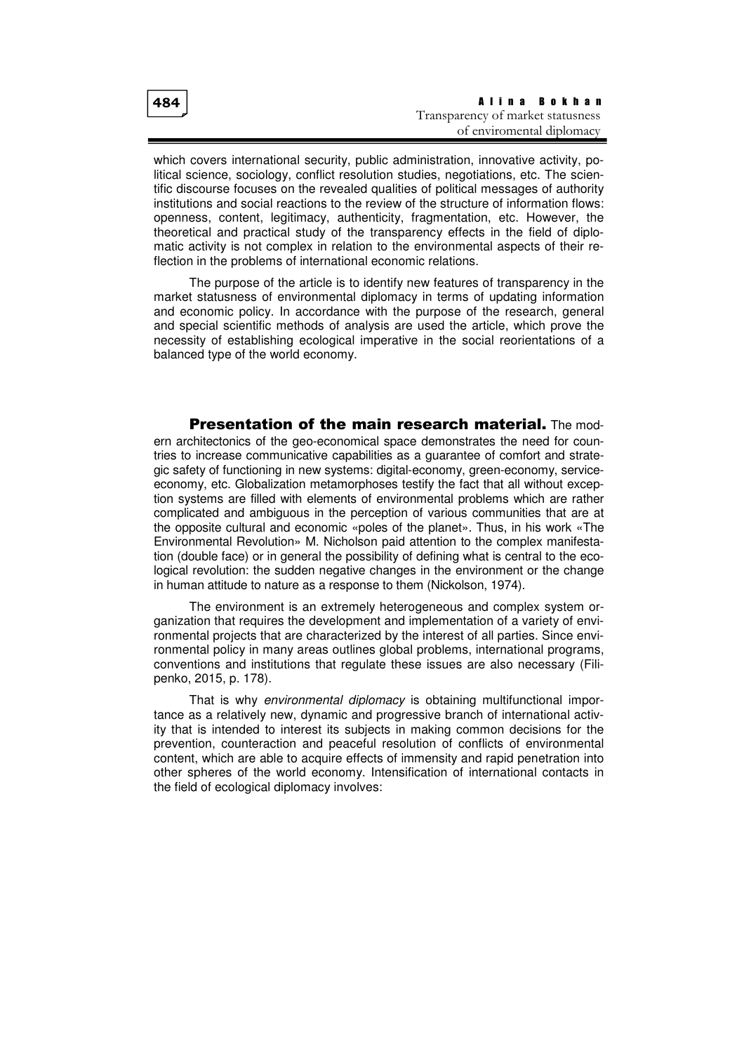which covers international security, public administration, innovative activity, political science, sociology, conflict resolution studies, negotiations, etc. The scientific discourse focuses on the revealed qualities of political messages of authority institutions and social reactions to the review of the structure of information flows: openness, content, legitimacy, authenticity, fragmentation, etc. However, the theoretical and practical study of the transparency effects in the field of diplomatic activity is not complex in relation to the environmental aspects of their reflection in the problems of international economic relations.

The purpose of the article is to identify new features of transparency in the market statusness of environmental diplomacy in terms of updating information and economic policy. In accordance with the purpose of the research, general and special scientific methods of analysis are used the article, which prove the necessity of establishing ecological imperative in the social reorientations of a balanced type of the world economy.

**Presentation of the main research material.** The modern architectonics of the geo-economical space demonstrates the need for countries to increase communicative capabilities as a guarantee of comfort and strategic safety of functioning in new systems: digital-economy, green-economy, serviceeconomy, etc. Globalization metamorphoses testify the fact that all without exception systems are filled with elements of environmental problems which are rather complicated and ambiguous in the perception of various communities that are at the opposite cultural and economic «poles of the planet». Thus, in his work «The Environmental Revolution» M. Nicholson paid attention to the complex manifestation (double face) or in general the possibility of defining what is central to the ecological revolution: the sudden negative changes in the environment or the change in human attitude to nature as a response to them (Nickolson, 1974).

The environment is an extremely heterogeneous and complex system organization that requires the development and implementation of a variety of environmental projects that are characterized by the interest of all parties. Since environmental policy in many areas outlines global problems, international programs, conventions and institutions that regulate these issues are also necessary (Filipenko, 2015, p. 178).

That is why environmental diplomacy is obtaining multifunctional importance as a relatively new, dynamic and progressive branch of international activity that is intended to interest its subjects in making common decisions for the prevention, counteraction and peaceful resolution of conflicts of environmental content, which are able to acquire effects of immensity and rapid penetration into other spheres of the world economy. Intensification of international contacts in the field of ecological diplomacy involves: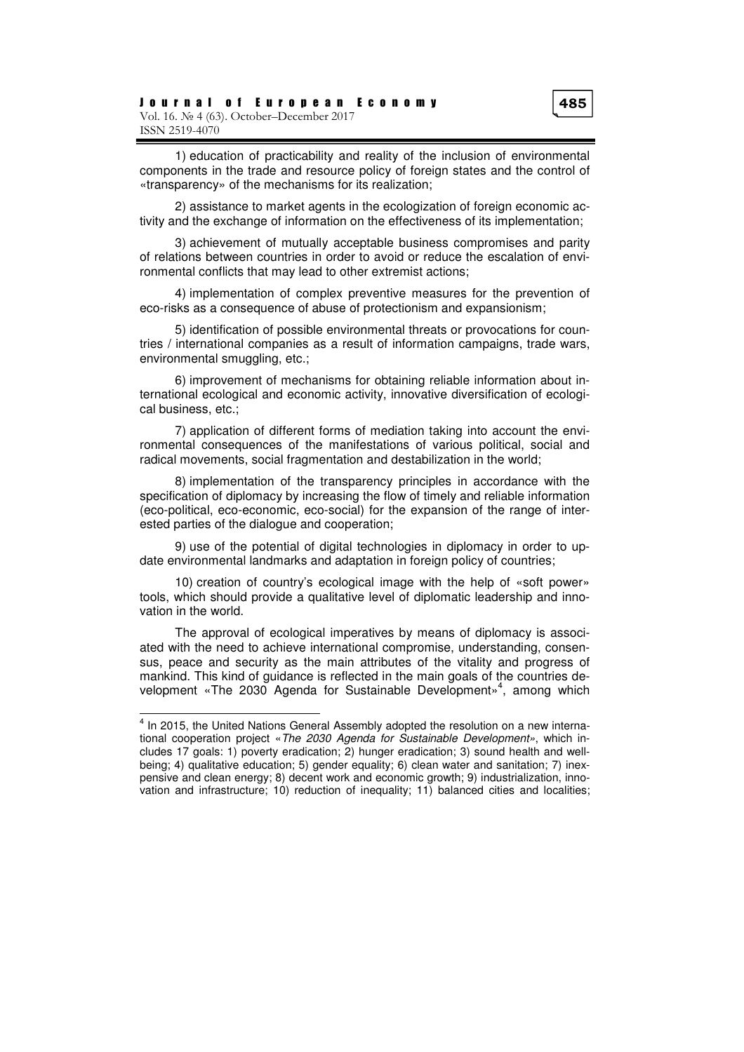1) education of practicability and reality of the inclusion of environmental components in the trade and resource policy of foreign states and the control of «transparency» of the mechanisms for its realization;

2) assistance to market agents in the ecologization of foreign economic activity and the exchange of information on the effectiveness of its implementation;

3) achievement of mutually acceptable business compromises and parity of relations between countries in order to avoid or reduce the escalation of environmental conflicts that may lead to other extremist actions;

4) implementation of complex preventive measures for the prevention of eco-risks as a consequence of abuse of protectionism and expansionism;

5) identification of possible environmental threats or provocations for countries / international companies as a result of information campaigns, trade wars, environmental smuggling, etc.;

6) improvement of mechanisms for obtaining reliable information about international ecological and economic activity, innovative diversification of ecological business, etc.;

7) application of different forms of mediation taking into account the environmental consequences of the manifestations of various political, social and radical movements, social fragmentation and destabilization in the world;

8) implementation of the transparency principles in accordance with the specification of diplomacy by increasing the flow of timely and reliable information (eco-political, eco-economic, eco-social) for the expansion of the range of interested parties of the dialogue and cooperation;

9) use of the potential of digital technologies in diplomacy in order to update environmental landmarks and adaptation in foreign policy of countries;

10) creation of country's ecological image with the help of «soft power» tools, which should provide a qualitative level of diplomatic leadership and innovation in the world.

The approval of ecological imperatives by means of diplomacy is associated with the need to achieve international compromise, understanding, consensus, peace and security as the main attributes of the vitality and progress of mankind. This kind of guidance is reflected in the main goals of the countries development «The 2030 Agenda for Sustainable Development»<sup>4</sup>, among which

 $\overline{a}$ 

<sup>&</sup>lt;sup>4</sup> In 2015, the United Nations General Assembly adopted the resolution on a new international cooperation project «The 2030 Agenda for Sustainable Development», which includes 17 goals: 1) poverty eradication; 2) hunger eradication; 3) sound health and wellbeing; 4) qualitative education; 5) gender equality; 6) clean water and sanitation; 7) inexpensive and clean energy; 8) decent work and economic growth; 9) industrialization, innovation and infrastructure; 10) reduction of inequality; 11) balanced cities and localities;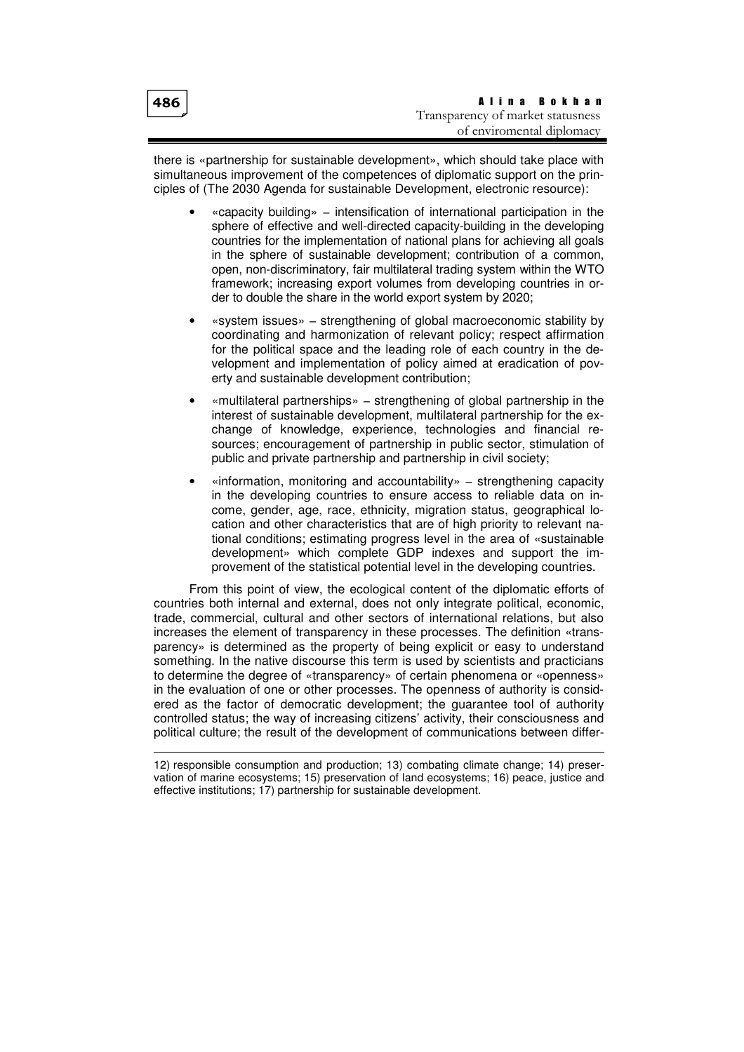$\overline{a}$ 

there is «partnership for sustainable development», which should take place with simultaneous improvement of the competences of diplomatic support on the principles of (The 2030 Agenda for sustainable Development, electronic resource):

- «capacity building» − intensification of international participation in the sphere of effective and well-directed capacity-building in the developing countries for the implementation of national plans for achieving all goals in the sphere of sustainable development; contribution of a common, open, non-discriminatory, fair multilateral trading system within the WTO framework; increasing export volumes from developing countries in order to double the share in the world export system by 2020;
- «system issues» − strengthening of global macroeconomic stability by coordinating and harmonization of relevant policy; respect affirmation for the political space and the leading role of each country in the development and implementation of policy aimed at eradication of poverty and sustainable development contribution;
- «multilateral partnerships» − strengthening of global partnership in the interest of sustainable development, multilateral partnership for the exchange of knowledge, experience, technologies and financial resources; encouragement of partnership in public sector, stimulation of public and private partnership and partnership in civil society;
- «information, monitoring and accountability» − strengthening capacity in the developing countries to ensure access to reliable data on income, gender, age, race, ethnicity, migration status, geographical location and other characteristics that are of high priority to relevant national conditions; estimating progress level in the area of «sustainable development» which complete GDP indexes and support the improvement of the statistical potential level in the developing countries.

From this point of view, the ecological content of the diplomatic efforts of countries both internal and external, does not only integrate political, economic, trade, commercial, cultural and other sectors of international relations, but also increases the element of transparency in these processes. The definition «transparency» is determined as the property of being explicit or easy to understand something. In the native discourse this term is used by scientists and practicians to determine the degree of «transparency» of certain phenomena or «openness» in the evaluation of one or other processes. The openness of authority is considered as the factor of democratic development; the guarantee tool of authority controlled status; the way of increasing citizens' activity, their consciousness and political culture; the result of the development of communications between differ-

<sup>12)</sup> responsible consumption and production; 13) combating climate change; 14) preservation of marine ecosystems; 15) preservation of land ecosystems; 16) peace, justice and effective institutions; 17) partnership for sustainable development.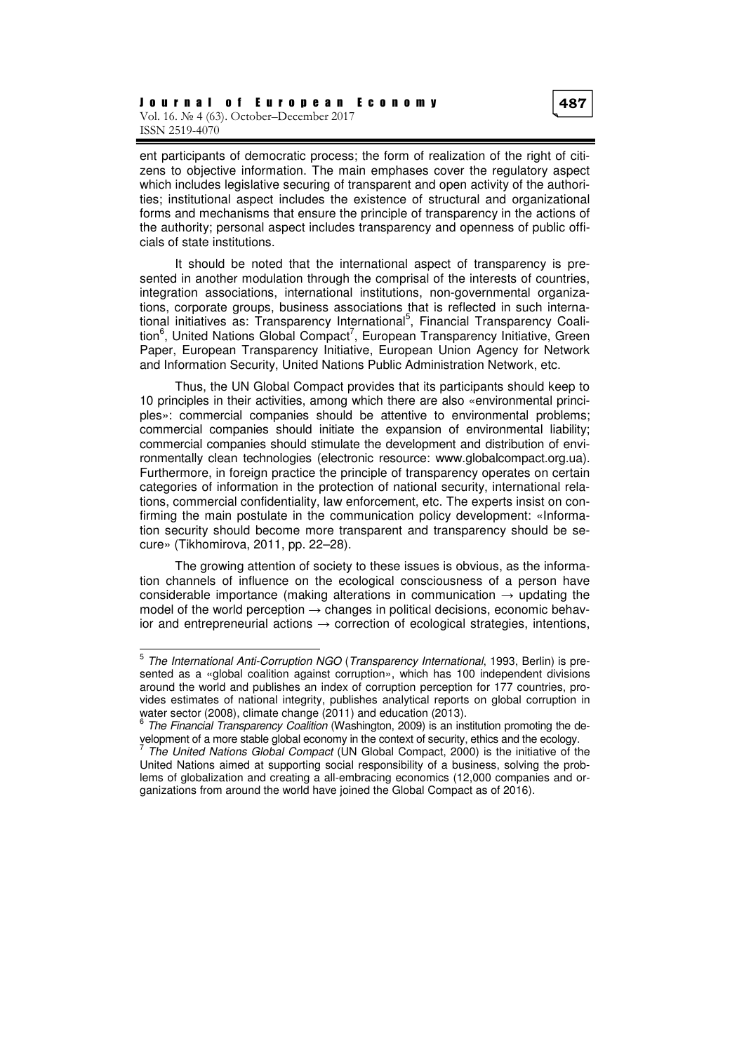ent participants of democratic process; the form of realization of the right of citizens to objective information. The main emphases cover the regulatory aspect which includes legislative securing of transparent and open activity of the authorities; institutional aspect includes the existence of structural and organizational forms and mechanisms that ensure the principle of transparency in the actions of the authority; personal aspect includes transparency and openness of public officials of state institutions.

It should be noted that the international aspect of transparency is presented in another modulation through the comprisal of the interests of countries, integration associations, international institutions, non-governmental organizations, corporate groups, business associations that is reflected in such international initiatives as: Transparency International<sup>5</sup>, Financial Transparency Coalition<sup>6</sup>, United Nations Global Compact<sup>7</sup>, European Transparency Initiative, Green Paper, European Transparency Initiative, European Union Agency for Network and Information Security, United Nations Public Administration Network, etc.

Thus, the UN Global Compact provides that its participants should keep to 10 principles in their activities, among which there are also «environmental principles»: commercial companies should be attentive to environmental problems; commercial companies should initiate the expansion of environmental liability; commercial companies should stimulate the development and distribution of environmentally clean technologies (electronic resource: www.globalcompact.org.ua). Furthermore, in foreign practice the principle of transparency operates on certain categories of information in the protection of national security, international relations, commercial confidentiality, law enforcement, etc. The experts insist on confirming the main postulate in the communication policy development: «Information security should become more transparent and transparency should be secure» (Tikhomirova, 2011, pp. 22–28).

The growing attention of society to these issues is obvious, as the information channels of influence on the ecological consciousness of a person have considerable importance (making alterations in communication  $\rightarrow$  updating the model of the world perception  $\rightarrow$  changes in political decisions, economic behavior and entrepreneurial actions  $\rightarrow$  correction of ecological strategies, intentions,

 $\overline{a}$ 

<sup>&</sup>lt;sup>5</sup> The International Anti-Corruption NGO (Transparency International, 1993, Berlin) is presented as a «global coalition against corruption», which has 100 independent divisions around the world and publishes an index of corruption perception for 177 countries, provides estimates of national integrity, publishes analytical reports on global corruption in water sector (2008), climate change (2011) and education (2013).

<sup>&</sup>lt;sup>6</sup> The Financial Transparency Coalition (Washington, 2009) is an institution promoting the development of a more stable global economy in the context of security, ethics and the ecology.<br><sup>7</sup> The United Nationa Clabel Compact (UN Clabel Compact, 2000) is the initiative of th

The United Nations Global Compact (UN Global Compact, 2000) is the initiative of the United Nations aimed at supporting social responsibility of a business, solving the problems of globalization and creating a all-embracing economics (12,000 companies and organizations from around the world have joined the Global Compact as of 2016).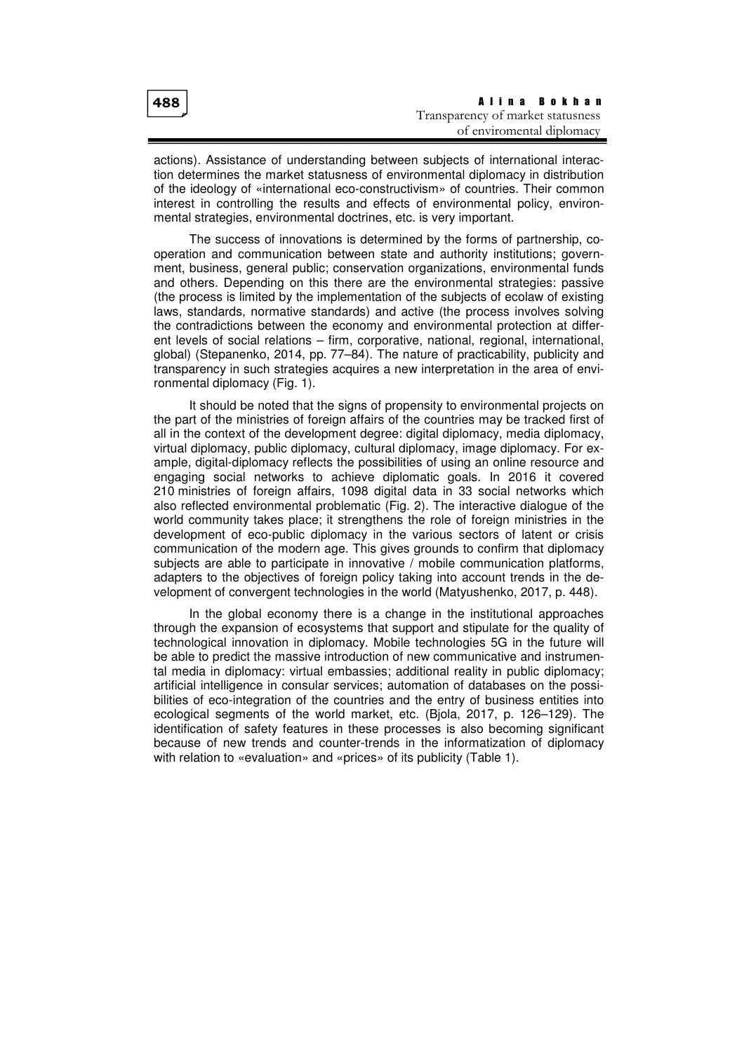| $ 488\rangle$ | Alina Bokhan                      |  |  |  |
|---------------|-----------------------------------|--|--|--|
|               | Transparency of market statusness |  |  |  |
|               | of enviromental diplomacy         |  |  |  |

actions). Assistance of understanding between subjects of international interaction determines the market statusness of environmental diplomacy in distribution of the ideology of «international eco-constructivism» of countries. Their common interest in controlling the results and effects of environmental policy, environmental strategies, environmental doctrines, etc. is very important.

The success of innovations is determined by the forms of partnership, cooperation and communication between state and authority institutions; government, business, general public; conservation organizations, environmental funds and others. Depending on this there are the environmental strategies: passive (the process is limited by the implementation of the subjects of ecolaw of existing laws, standards, normative standards) and active (the process involves solving the contradictions between the economy and environmental protection at different levels of social relations – firm, corporative, national, regional, international, global) (Stepanenko, 2014, pp. 77–84). The nature of practicability, publicity and transparency in such strategies acquires a new interpretation in the area of environmental diplomacy (Fig. 1).

It should be noted that the signs of propensity to environmental projects on the part of the ministries of foreign affairs of the countries may be tracked first of all in the context of the development degree: digital diplomacy, media diplomacy, virtual diplomacy, public diplomacy, cultural diplomacy, image diplomacy. For example, digital-diplomacy reflects the possibilities of using an online resource and engaging social networks to achieve diplomatic goals. In 2016 it covered 210 ministries of foreign affairs, 1098 digital data in 33 social networks which also reflected environmental problematic (Fig. 2). The interactive dialogue of the world community takes place; it strengthens the role of foreign ministries in the development of eco-public diplomacy in the various sectors of latent or crisis communication of the modern age. This gives grounds to confirm that diplomacy subjects are able to participate in innovative / mobile communication platforms, adapters to the objectives of foreign policy taking into account trends in the development of convergent technologies in the world (Matyushenko, 2017, p. 448).

In the global economy there is a change in the institutional approaches through the expansion of ecosystems that support and stipulate for the quality of technological innovation in diplomacy. Mobile technologies 5G in the future will be able to predict the massive introduction of new communicative and instrumental media in diplomacy: virtual embassies; additional reality in public diplomacy; artificial intelligence in consular services; automation of databases on the possibilities of eco-integration of the countries and the entry of business entities into ecological segments of the world market, etc. (Bjola, 2017, p. 126–129). The identification of safety features in these processes is also becoming significant because of new trends and counter-trends in the informatization of diplomacy with relation to «evaluation» and «prices» of its publicity (Table 1).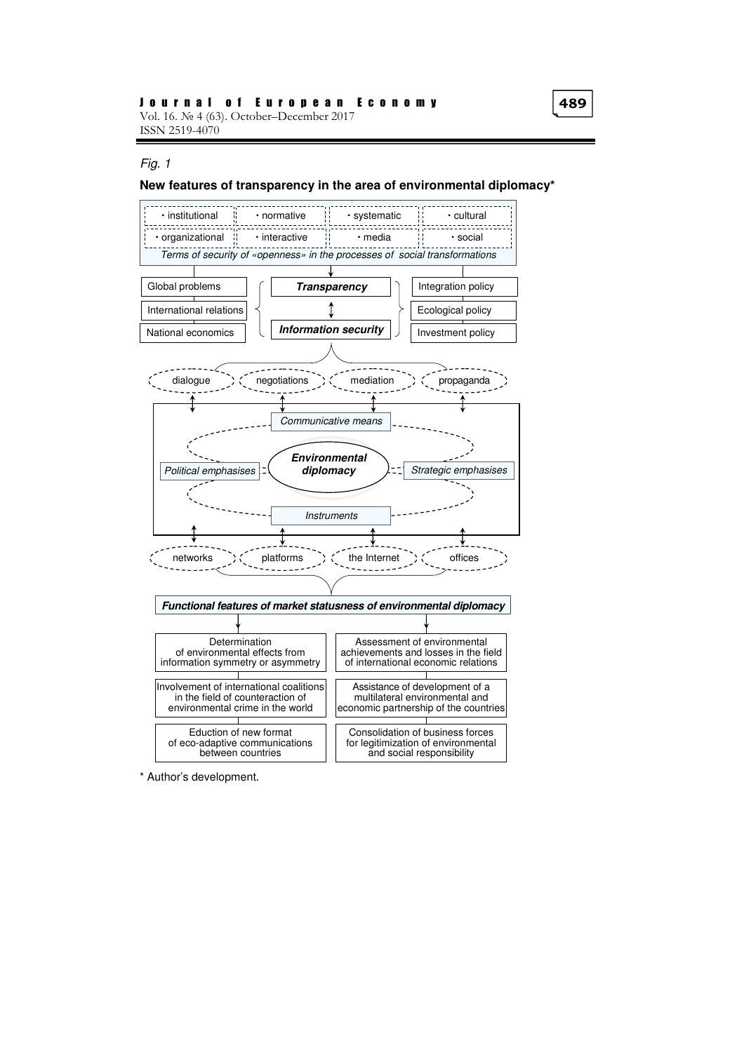#### Fig. 1

#### **New features of transparency in the area of environmental diplomacy\***



\* Author's development.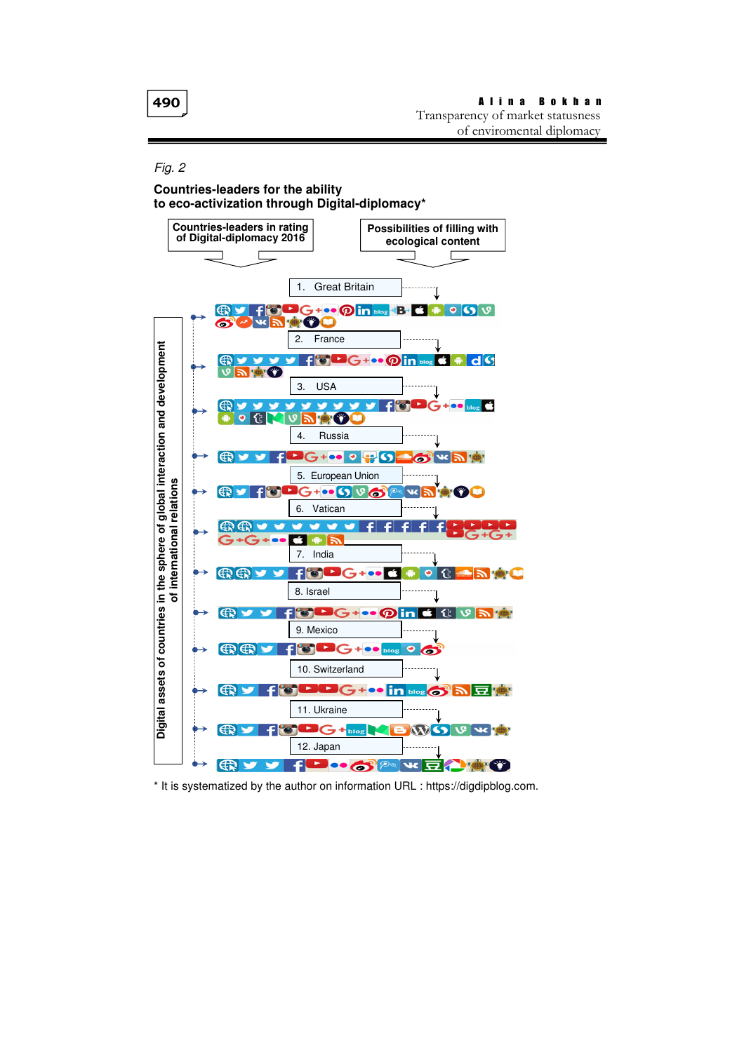#### Fig. 2

#### **Countries-leaders for the ability t**о **eco-activization through Digital-diplomacy\***



\* It is systematized by the author on information URL : https://digdipblog.com.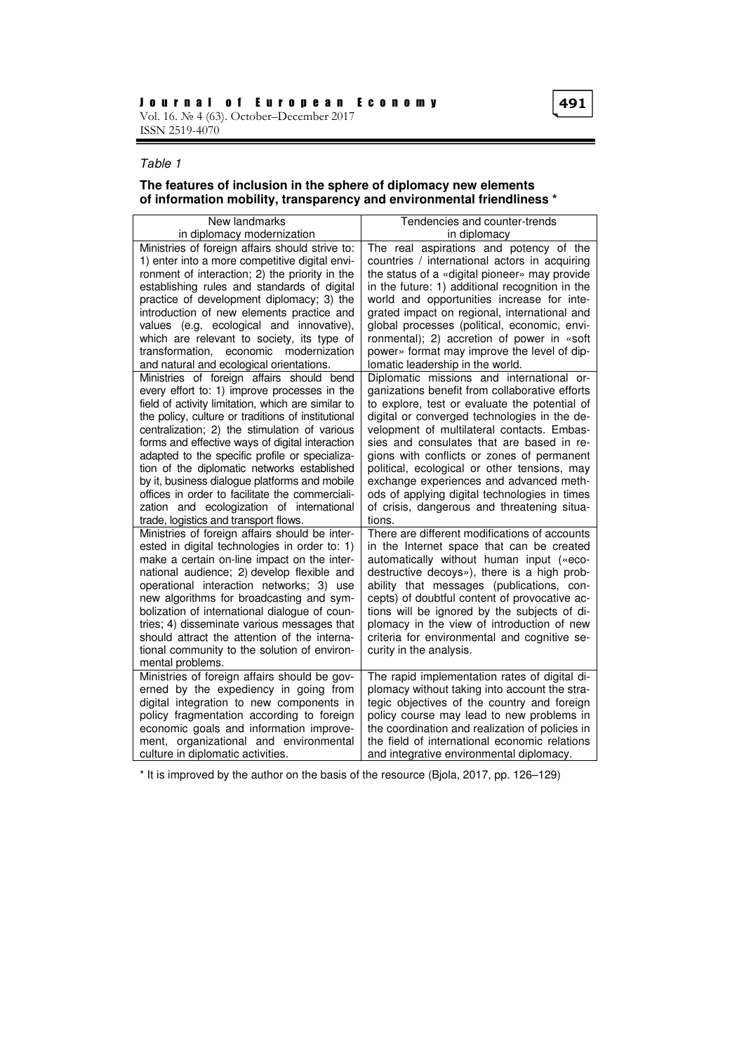# Таble 1

## **The features of inclusion in the sphere of diplomacy new elements of information mobility, transparency and environmental friendliness \***

| New landmarks                                                                                                                                                                                                                                                                                                                                                                                                                                                                                            | Tendencies and counter-trends                                                                                                                                                                                                                                                                                                                                                                                                                                |  |  |
|----------------------------------------------------------------------------------------------------------------------------------------------------------------------------------------------------------------------------------------------------------------------------------------------------------------------------------------------------------------------------------------------------------------------------------------------------------------------------------------------------------|--------------------------------------------------------------------------------------------------------------------------------------------------------------------------------------------------------------------------------------------------------------------------------------------------------------------------------------------------------------------------------------------------------------------------------------------------------------|--|--|
| in diplomacy modernization                                                                                                                                                                                                                                                                                                                                                                                                                                                                               | in diplomacy                                                                                                                                                                                                                                                                                                                                                                                                                                                 |  |  |
| Ministries of foreign affairs should strive to:                                                                                                                                                                                                                                                                                                                                                                                                                                                          | The real aspirations and potency of the                                                                                                                                                                                                                                                                                                                                                                                                                      |  |  |
| 1) enter into a more competitive digital envi-                                                                                                                                                                                                                                                                                                                                                                                                                                                           | countries / international actors in acquiring                                                                                                                                                                                                                                                                                                                                                                                                                |  |  |
| ronment of interaction; 2) the priority in the                                                                                                                                                                                                                                                                                                                                                                                                                                                           | the status of a «digital pioneer» may provide                                                                                                                                                                                                                                                                                                                                                                                                                |  |  |
| establishing rules and standards of digital                                                                                                                                                                                                                                                                                                                                                                                                                                                              | in the future: 1) additional recognition in the                                                                                                                                                                                                                                                                                                                                                                                                              |  |  |
| practice of development diplomacy; 3) the                                                                                                                                                                                                                                                                                                                                                                                                                                                                | world and opportunities increase for inte-                                                                                                                                                                                                                                                                                                                                                                                                                   |  |  |
| introduction of new elements practice and                                                                                                                                                                                                                                                                                                                                                                                                                                                                | grated impact on regional, international and                                                                                                                                                                                                                                                                                                                                                                                                                 |  |  |
| values (e.g. ecological and innovative),                                                                                                                                                                                                                                                                                                                                                                                                                                                                 | global processes (political, economic, envi-                                                                                                                                                                                                                                                                                                                                                                                                                 |  |  |
| which are relevant to society, its type of                                                                                                                                                                                                                                                                                                                                                                                                                                                               | ronmental); 2) accretion of power in «soft                                                                                                                                                                                                                                                                                                                                                                                                                   |  |  |
| transformation, economic modernization                                                                                                                                                                                                                                                                                                                                                                                                                                                                   | power» format may improve the level of dip-                                                                                                                                                                                                                                                                                                                                                                                                                  |  |  |
| and natural and ecological orientations.                                                                                                                                                                                                                                                                                                                                                                                                                                                                 | lomatic leadership in the world.                                                                                                                                                                                                                                                                                                                                                                                                                             |  |  |
| Ministries of foreign affairs should bend                                                                                                                                                                                                                                                                                                                                                                                                                                                                | Diplomatic missions and international or-                                                                                                                                                                                                                                                                                                                                                                                                                    |  |  |
| every effort to: 1) improve processes in the                                                                                                                                                                                                                                                                                                                                                                                                                                                             | ganizations benefit from collaborative efforts                                                                                                                                                                                                                                                                                                                                                                                                               |  |  |
| field of activity limitation, which are similar to                                                                                                                                                                                                                                                                                                                                                                                                                                                       | to explore, test or evaluate the potential of                                                                                                                                                                                                                                                                                                                                                                                                                |  |  |
| the policy, culture or traditions of institutional                                                                                                                                                                                                                                                                                                                                                                                                                                                       | digital or converged technologies in the de-                                                                                                                                                                                                                                                                                                                                                                                                                 |  |  |
| centralization; 2) the stimulation of various                                                                                                                                                                                                                                                                                                                                                                                                                                                            | velopment of multilateral contacts. Embas-                                                                                                                                                                                                                                                                                                                                                                                                                   |  |  |
| forms and effective ways of digital interaction                                                                                                                                                                                                                                                                                                                                                                                                                                                          | sies and consulates that are based in re-                                                                                                                                                                                                                                                                                                                                                                                                                    |  |  |
| adapted to the specific profile or specializa-                                                                                                                                                                                                                                                                                                                                                                                                                                                           | gions with conflicts or zones of permanent                                                                                                                                                                                                                                                                                                                                                                                                                   |  |  |
| tion of the diplomatic networks established                                                                                                                                                                                                                                                                                                                                                                                                                                                              | political, ecological or other tensions, may                                                                                                                                                                                                                                                                                                                                                                                                                 |  |  |
| by it, business dialogue platforms and mobile                                                                                                                                                                                                                                                                                                                                                                                                                                                            | exchange experiences and advanced meth-                                                                                                                                                                                                                                                                                                                                                                                                                      |  |  |
| offices in order to facilitate the commerciali-                                                                                                                                                                                                                                                                                                                                                                                                                                                          | ods of applying digital technologies in times                                                                                                                                                                                                                                                                                                                                                                                                                |  |  |
| zation and ecologization of international                                                                                                                                                                                                                                                                                                                                                                                                                                                                | of crisis, dangerous and threatening situa-                                                                                                                                                                                                                                                                                                                                                                                                                  |  |  |
| trade, logistics and transport flows.                                                                                                                                                                                                                                                                                                                                                                                                                                                                    | tions.                                                                                                                                                                                                                                                                                                                                                                                                                                                       |  |  |
| Ministries of foreign affairs should be inter-<br>ested in digital technologies in order to: 1)<br>make a certain on-line impact on the inter-<br>national audience; 2) develop flexible and<br>operational interaction networks; 3) use<br>new algorithms for broadcasting and sym-<br>bolization of international dialogue of coun-<br>tries; 4) disseminate various messages that<br>should attract the attention of the interna-<br>tional community to the solution of environ-<br>mental problems. | There are different modifications of accounts<br>in the Internet space that can be created<br>automatically without human input («eco-<br>destructive decoys»), there is a high prob-<br>ability that messages (publications, con-<br>cepts) of doubtful content of provocative ac-<br>tions will be ignored by the subjects of di-<br>plomacy in the view of introduction of new<br>criteria for environmental and cognitive se-<br>curity in the analysis. |  |  |
| Ministries of foreign affairs should be gov-                                                                                                                                                                                                                                                                                                                                                                                                                                                             | The rapid implementation rates of digital di-                                                                                                                                                                                                                                                                                                                                                                                                                |  |  |
| erned by the expediency in going from                                                                                                                                                                                                                                                                                                                                                                                                                                                                    | plomacy without taking into account the stra-                                                                                                                                                                                                                                                                                                                                                                                                                |  |  |
| digital integration to new components in                                                                                                                                                                                                                                                                                                                                                                                                                                                                 | tegic objectives of the country and foreign                                                                                                                                                                                                                                                                                                                                                                                                                  |  |  |
| policy fragmentation according to foreign                                                                                                                                                                                                                                                                                                                                                                                                                                                                | policy course may lead to new problems in                                                                                                                                                                                                                                                                                                                                                                                                                    |  |  |
| economic goals and information improve-                                                                                                                                                                                                                                                                                                                                                                                                                                                                  | the coordination and realization of policies in                                                                                                                                                                                                                                                                                                                                                                                                              |  |  |
| ment, organizational and environmental                                                                                                                                                                                                                                                                                                                                                                                                                                                                   | the field of international economic relations                                                                                                                                                                                                                                                                                                                                                                                                                |  |  |
| culture in diplomatic activities.                                                                                                                                                                                                                                                                                                                                                                                                                                                                        | and integrative environmental diplomacy.                                                                                                                                                                                                                                                                                                                                                                                                                     |  |  |

\* It is improved by the author on the basis of the resource (Bjola, 2017, pp. 126–129)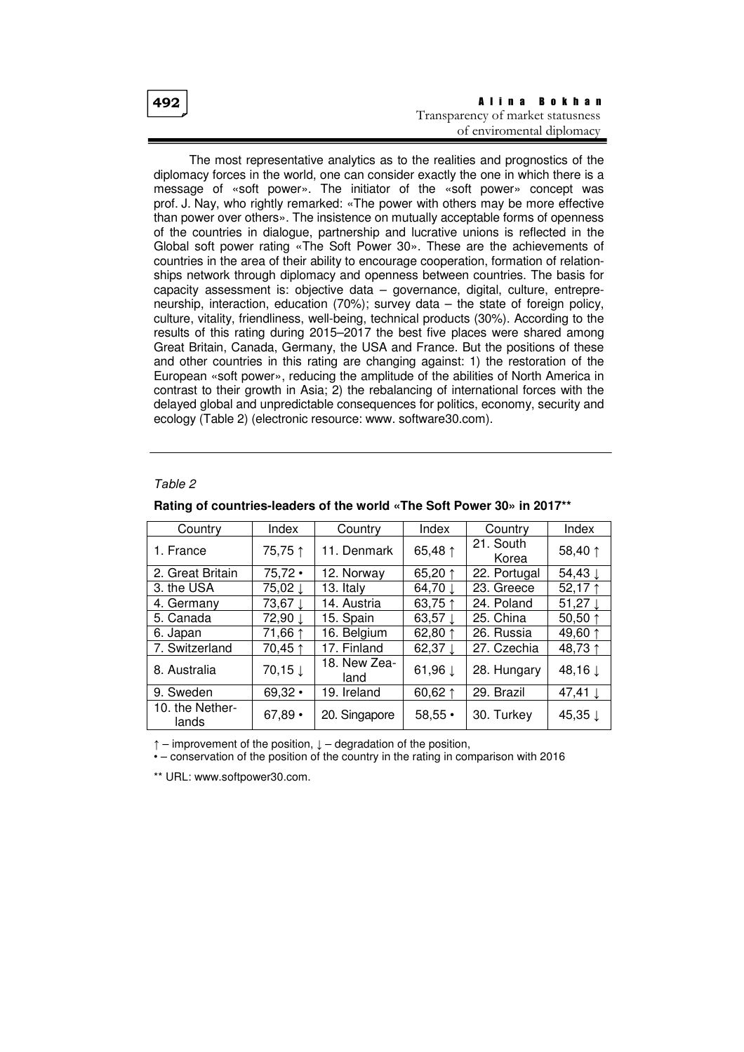| 492 | Alina Bokhan                      |
|-----|-----------------------------------|
|     | Transparency of market statusness |
|     | of enviromental diplomacy         |

The most representative analytics as to the realities and prognostics of the diplomacy forces in the world, one can consider exactly the one in which there is a message of «soft power». The initiator of the «soft power» concept was prof. J. Nay, who rightly remarked: «The power with others may be more effective than power over others». The insistence on mutually acceptable forms of openness of the countries in dialogue, partnership and lucrative unions is reflected in the Global soft power rating «The Soft Power 30». These are the achievements of countries in the area of their ability to encourage cooperation, formation of relationships network through diplomacy and openness between countries. The basis for capacity assessment is: objective data – governance, digital, culture, entrepreneurship, interaction, education (70%); survey data – the state of foreign policy, culture, vitality, friendliness, well-being, technical products (30%). According to the results of this rating during 2015–2017 the best five places were shared among Great Britain, Canada, Germany, the USA and France. But the positions of these and other countries in this rating are changing against: 1) the restoration of the European «soft power», reducing the amplitude of the abilities of North America in contrast to their growth in Asia; 2) the rebalancing of international forces with the delayed global and unpredictable consequences for politics, economy, security and ecology (Table 2) (electronic resource: www. software30.com).

## Таble 2

| Country                  | Index     | Country              | Index              | Country            | Index              |
|--------------------------|-----------|----------------------|--------------------|--------------------|--------------------|
| 1. France                | 75,75 ↑   | 11. Denmark          | 65,48 ↑            | 21. South<br>Korea | 58,40 ↑            |
| 2. Great Britain         | $75,72$ • | 12. Norway           | 65,20 ↑            | 22. Portugal       | 54,43 $\downarrow$ |
| 3. the USA               | 75,02 ↓   | 13. Italy            | 64,70 ↓            | 23. Greece         | 52,17↑             |
| 4. Germany               | 73,67 ↓   | 14. Austria          | 63,75 ↑            | 24. Poland         | 51,27 $\downarrow$ |
| 5. Canada                | 72,90 ↓   | 15. Spain            | 63,57 $\downarrow$ | 25. China          | 50,50 $1$          |
| 6. Japan                 | 71,66 ↑   | 16. Belgium          | 62,80 $\uparrow$   | 26. Russia         | 49,60 ↑            |
| 7. Switzerland           | 70,45 ↑   | 17. Finland          | 62,37 $\downarrow$ | 27. Czechia        | 48,73 ↑            |
| 8. Australia             | 70,15↓    | 18. New Zea-<br>land | 61,96 ↓            | 28. Hungary        | 48,16↓             |
| 9. Sweden                | 69,32     | 19. Ireland          | 60,62 $\uparrow$   | 29. Brazil         | 47,41 $\downarrow$ |
| 10. the Nether-<br>lands | $67,89 -$ | 20. Singapore        | $58,55 \cdot$      | 30. Turkey         | 45,35 ↓            |

#### **Rating of countries-leaders of the world «The Soft Power 30» in 2017\*\***

 $\uparrow$  – improvement of the position,  $\downarrow$  – degradation of the position,

• – conservation of the position of the country in the rating in comparison with 2016

\*\* URL: www.softpower30.com.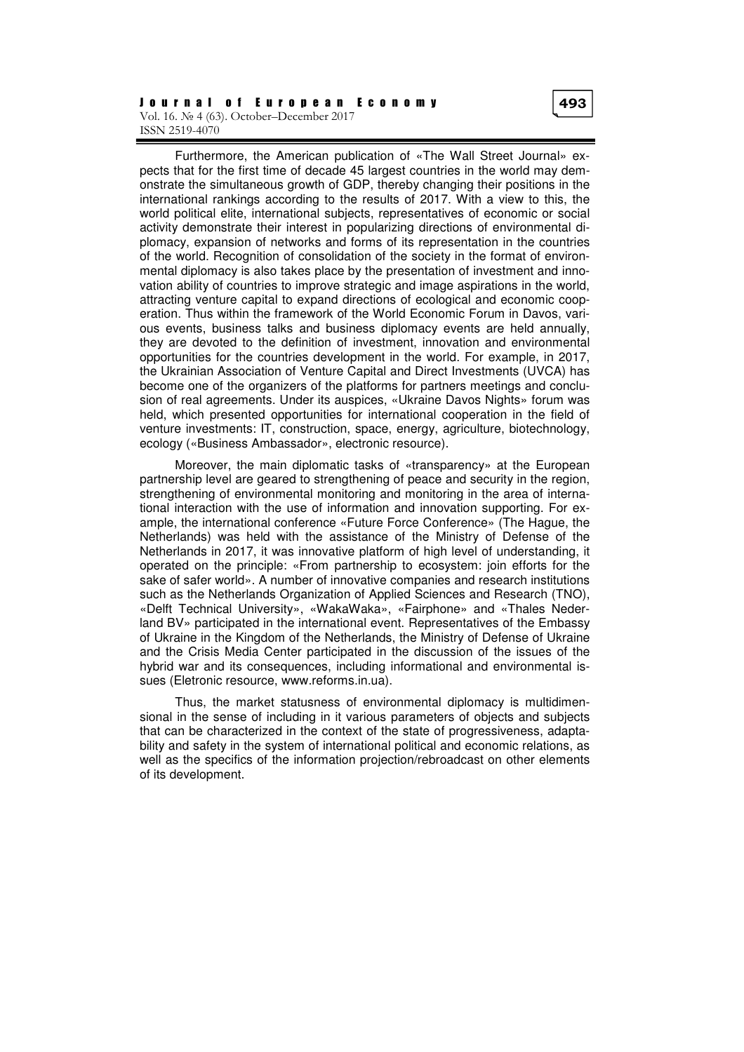Furthermore, the American publication of «The Wall Street Journal» expects that for the first time of decade 45 largest countries in the world may demonstrate the simultaneous growth of GDP, thereby changing their positions in the international rankings according to the results of 2017. With a view to this, the world political elite, international subjects, representatives of economic or social activity demonstrate their interest in popularizing directions of environmental diplomacy, expansion of networks and forms of its representation in the countries of the world. Recognition of consolidation of the society in the format of environmental diplomacy is also takes place by the presentation of investment and innovation ability of countries to improve strategic and image aspirations in the world, attracting venture capital to expand directions of ecological and economic cooperation. Thus within the framework of the World Economic Forum in Davos, various events, business talks and business diplomacy events are held annually, they are devoted to the definition of investment, innovation and environmental opportunities for the countries development in the world. For example, in 2017, the Ukrainian Association of Venture Capital and Direct Investments (UVCA) has become one of the organizers of the platforms for partners meetings and conclusion of real agreements. Under its auspices, «Ukraine Davos Nights» forum was held, which presented opportunities for international cooperation in the field of venture investments: IT, construction, space, energy, agriculture, biotechnology, ecology («Business Ambassador», electronic resource).

Moreover, the main diplomatic tasks of «transparency» at the European partnership level are geared to strengthening of peace and security in the region, strengthening of environmental monitoring and monitoring in the area of international interaction with the use of information and innovation supporting. For example, the international conference «Future Force Conference» (The Hague, the Netherlands) was held with the assistance of the Ministry of Defense of the Netherlands in 2017, it was innovative platform of high level of understanding, it operated on the principle: «From partnership to ecosystem: join efforts for the sake of safer world». A number of innovative companies and research institutions such as the Netherlands Organization of Applied Sciences and Research (TNO), «Delft Technical University», «WakaWaka», «Fairphone» and «Thales Nederland BV» participated in the international event. Representatives of the Embassy of Ukraine in the Kingdom of the Netherlands, the Ministry of Defense of Ukraine and the Crisis Media Center participated in the discussion of the issues of the hybrid war and its consequences, including informational and environmental issues (Eletronic resource, www.reforms.in.ua).

Thus, the market statusness of environmental diplomacy is multidimensional in the sense of including in it various parameters of objects and subjects that can be characterized in the context of the state of progressiveness, adaptability and safety in the system of international political and economic relations, as well as the specifics of the information projection/rebroadcast on other elements of its development.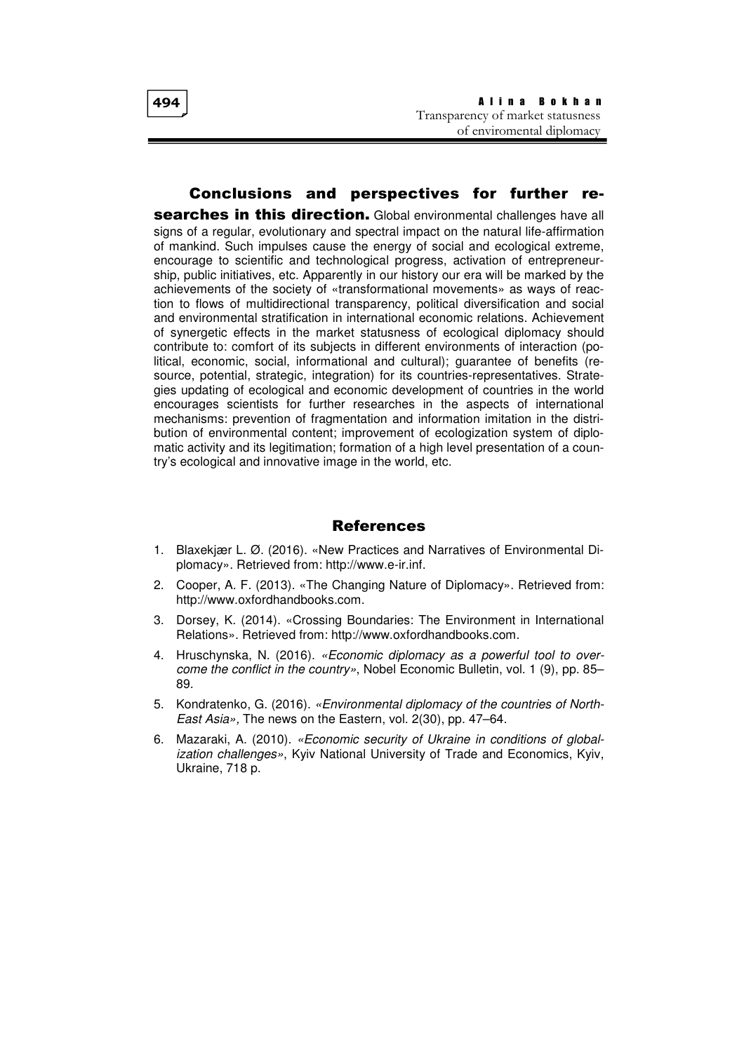## Conclusions and perspectives for further re-

searches in this direction. Global environmental challenges have all signs of a regular, evolutionary and spectral impact on the natural life-affirmation of mankind. Such impulses cause the energy of social and ecological extreme, encourage to scientific and technological progress, activation of entrepreneurship, public initiatives, etc. Apparently in our history our era will be marked by the achievements of the society of «transformational movements» as ways of reaction to flows of multidirectional transparency, political diversification and social and environmental stratification in international economic relations. Achievement of synergetic effects in the market statusness of ecological diplomacy should contribute to: comfort of its subjects in different environments of interaction (political, economic, social, informational and cultural); guarantee of benefits (resource, potential, strategic, integration) for its countries-representatives. Strategies updating of ecological and economic development of countries in the world encourages scientists for further researches in the aspects of international mechanisms: prevention of fragmentation and information imitation in the distribution of environmental content; improvement of ecologization system of diplomatic activity and its legitimation; formation of a high level presentation of a country's ecological and innovative image in the world, etc.

# References

- 1. Blaxekjær L. Ø. (2016). «New Practices and Narratives of Environmental Diplomacy». Retrieved from: http://www.e-ir.inf.
- 2. Cooper, A. F. (2013). «The Changing Nature of Diplomacy». Retrieved from: http://www.oxfordhandbooks.com.
- 3. Dorsey, K. (2014). «Crossing Boundaries: The Environment in International Relations». Retrieved from: http://www.oxfordhandbooks.com.
- 4. Hruschynska, N. (2016). «Economic diplomacy as a powerful tool to overcome the conflict in the country», Nobel Economic Bulletin, vol. 1 (9), pp. 85– 89.
- 5. Kondratenko, G. (2016). «Environmental diplomacy of the countries of North-East Asia», The news on the Eastern, vol. 2(30), pp. 47–64.
- 6. Mazaraki, A. (2010). «Economic security of Ukraine in conditions of globalization challenges», Kyiv National University of Trade and Economics, Kyiv, Ukraine, 718 p.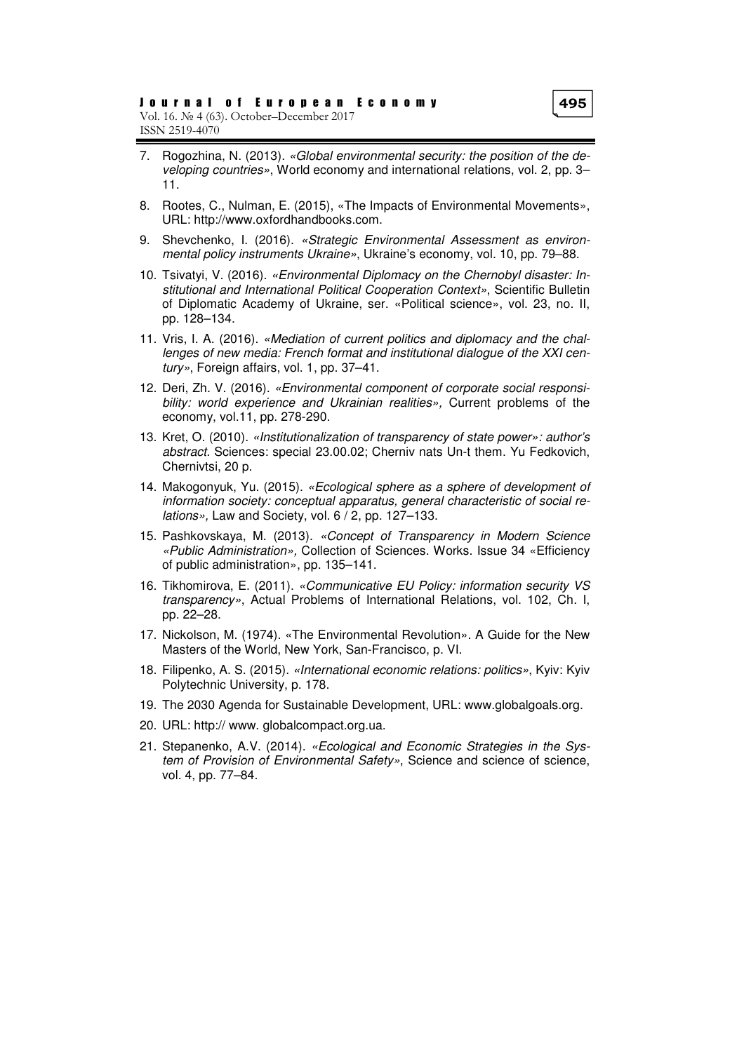- 7. Rogozhina, N. (2013). «Global environmental security: the position of the developing countries», World economy and international relations, vol. 2, pp. 3– 11.
- 8. Rootes, C., Nulman, E. (2015), «The Impacts of Environmental Movements», URL: http://www.oxfordhandbooks.com.
- 9. Shevchenko, I. (2016). «Strategic Environmental Assessment as environmental policy instruments Ukraine», Ukraine's economy, vol. 10, pp. 79–88.
- 10. Tsіvatyi, V. (2016). «Environmental Diplomacy on the Chernobyl disaster: Institutional and International Political Cooperation Context», Scientific Bulletin of Diplomatic Academy of Ukraine, ser. «Political science», vol. 23, no. II, pp. 128–134.
- 11. Vris, I. A. (2016). «Mediation of current politics and diplomacy and the challenges of new media: French format and institutional dialogue of the XXI century», Foreign affairs, vol. 1, pp. 37–41.
- 12. Deri, Zh. V. (2016). «Environmental component of corporate social responsibility: world experience and Ukrainian realities», Current problems of the economy, vol.11, pp. 278-290.
- 13. Kret, O. (2010). «Institutionalization of transparency of state power»: author's abstract. Sciences: special 23.00.02; Cherniv nats Un-t them. Yu Fedkovich, Chernivtsi, 20 p.
- 14. Makogonyuk, Yu. (2015). «Ecological sphere as a sphere of development of information society: conceptual apparatus, general characteristic of social relations», Law and Society, vol. 6 / 2, pp. 127–133.
- 15. Pashkovskaya, M. (2013). «Concept of Transparency in Modern Science «Public Administration», Collection of Sciences. Works. Issue 34 «Efficiency of public administration», pp. 135–141.
- 16. Tikhomirova, E. (2011). «Communicative EU Policy: information security VS transparency», Actual Problems of International Relations, vol. 102, Ch. I, pp. 22–28.
- 17. Nickolson, M. (1974). «The Environmental Revolution». A Guide for the New Masters of the World, New York, San-Francisco, p. VI.
- 18. Filipenko, A. S. (2015). «International economic relations: politics», Kyiv: Kyiv Polytechnic University, p. 178.
- 19. The 2030 Agenda for Sustainable Development, URL: www.globalgoals.org.
- 20. URL: http:// www. globalcompact.org.ua.
- 21. Stepanenko, A.V. (2014). «Ecological and Economic Strategies in the System of Provision of Environmental Safety», Science and science of science, vol. 4, pp. 77–84.